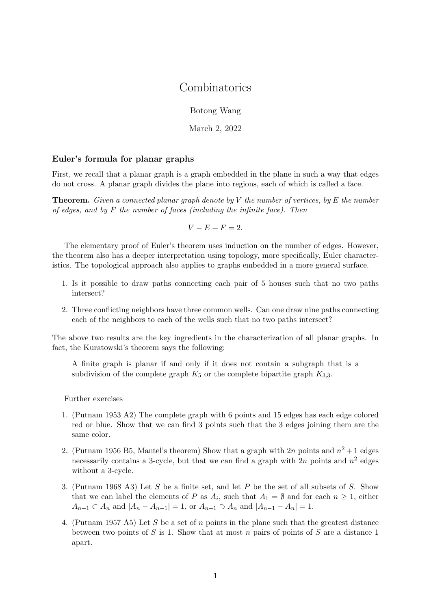## **Combinatorics**

Botong Wang

March 2, 2022

## Euler's formula for planar graphs

First, we recall that a planar graph is a graph embedded in the plane in such a way that edges do not cross. A planar graph divides the plane into regions, each of which is called a face.

**Theorem.** Given a connected planar graph denote by V the number of vertices, by E the number of edges, and by  $F$  the number of faces (including the infinite face). Then

 $V - E + F = 2.$ 

The elementary proof of Euler's theorem uses induction on the number of edges. However, the theorem also has a deeper interpretation using topology, more specifically, Euler characteristics. The topological approach also applies to graphs embedded in a more general surface.

- 1. Is it possible to draw paths connecting each pair of 5 houses such that no two paths intersect?
- 2. Three conflicting neighbors have three common wells. Can one draw nine paths connecting each of the neighbors to each of the wells such that no two paths intersect?

The above two results are the key ingredients in the characterization of all planar graphs. In fact, the Kuratowski's theorem says the following:

A finite graph is planar if and only if it does not contain a subgraph that is a subdivision of the complete graph  $K_5$  or the complete bipartite graph  $K_{3,3}$ .

Further exercises

- 1. (Putnam 1953 A2) The complete graph with 6 points and 15 edges has each edge colored red or blue. Show that we can find 3 points such that the 3 edges joining them are the same color.
- 2. (Putnam 1956 B5, Mantel's theorem) Show that a graph with  $2n$  points and  $n^2 + 1$  edges necessarily contains a 3-cycle, but that we can find a graph with  $2n$  points and  $n^2$  edges without a 3-cycle.
- 3. (Putnam 1968 A3) Let S be a finite set, and let P be the set of all subsets of S. Show that we can label the elements of P as  $A_i$ , such that  $A_1 = \emptyset$  and for each  $n \geq 1$ , either  $A_{n-1} \subset A_n$  and  $|A_n - A_{n-1}| = 1$ , or  $A_{n-1} \supset A_n$  and  $|A_{n-1} - A_n| = 1$ .
- 4. (Putnam 1957 A5) Let S be a set of n points in the plane such that the greatest distance between two points of S is 1. Show that at most n pairs of points of S are a distance 1 apart.